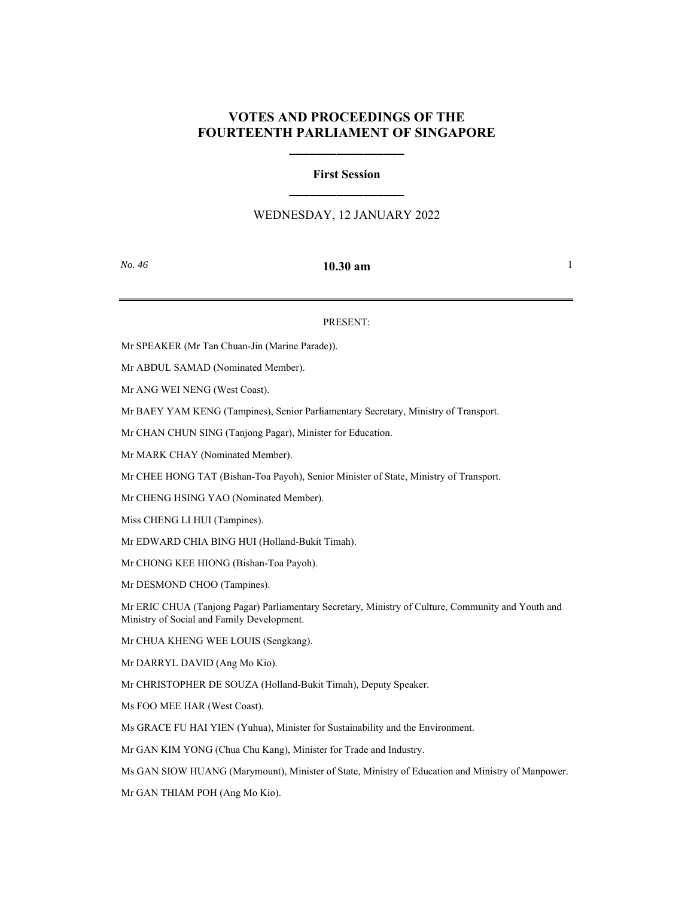## **VOTES AND PROCEEDINGS OF THE FOURTEENTH PARLIAMENT OF SINGAPORE**

**\_\_\_\_\_\_\_\_\_\_\_\_\_\_\_\_\_**

# **First Session \_\_\_\_\_\_\_\_\_\_\_\_\_\_\_\_\_**

## WEDNESDAY, 12 JANUARY 2022

### *No. 46* **10.30 am** 1

#### PRESENT:

Mr SPEAKER (Mr Tan Chuan-Jin (Marine Parade)).

Mr ABDUL SAMAD (Nominated Member).

Mr ANG WEI NENG (West Coast).

Mr BAEY YAM KENG (Tampines), Senior Parliamentary Secretary, Ministry of Transport.

Mr CHAN CHUN SING (Tanjong Pagar), Minister for Education.

Mr MARK CHAY (Nominated Member).

Mr CHEE HONG TAT (Bishan-Toa Payoh), Senior Minister of State, Ministry of Transport.

Mr CHENG HSING YAO (Nominated Member).

Miss CHENG LI HUI (Tampines).

Mr EDWARD CHIA BING HUI (Holland-Bukit Timah).

Mr CHONG KEE HIONG (Bishan-Toa Payoh).

Mr DESMOND CHOO (Tampines).

Mr ERIC CHUA (Tanjong Pagar) Parliamentary Secretary, Ministry of Culture, Community and Youth and Ministry of Social and Family Development.

Mr CHUA KHENG WEE LOUIS (Sengkang).

Mr DARRYL DAVID (Ang Mo Kio).

Mr CHRISTOPHER DE SOUZA (Holland-Bukit Timah), Deputy Speaker.

Ms FOO MEE HAR (West Coast).

Ms GRACE FU HAI YIEN (Yuhua), Minister for Sustainability and the Environment.

Mr GAN KIM YONG (Chua Chu Kang), Minister for Trade and Industry.

Ms GAN SIOW HUANG (Marymount), Minister of State, Ministry of Education and Ministry of Manpower.

Mr GAN THIAM POH (Ang Mo Kio).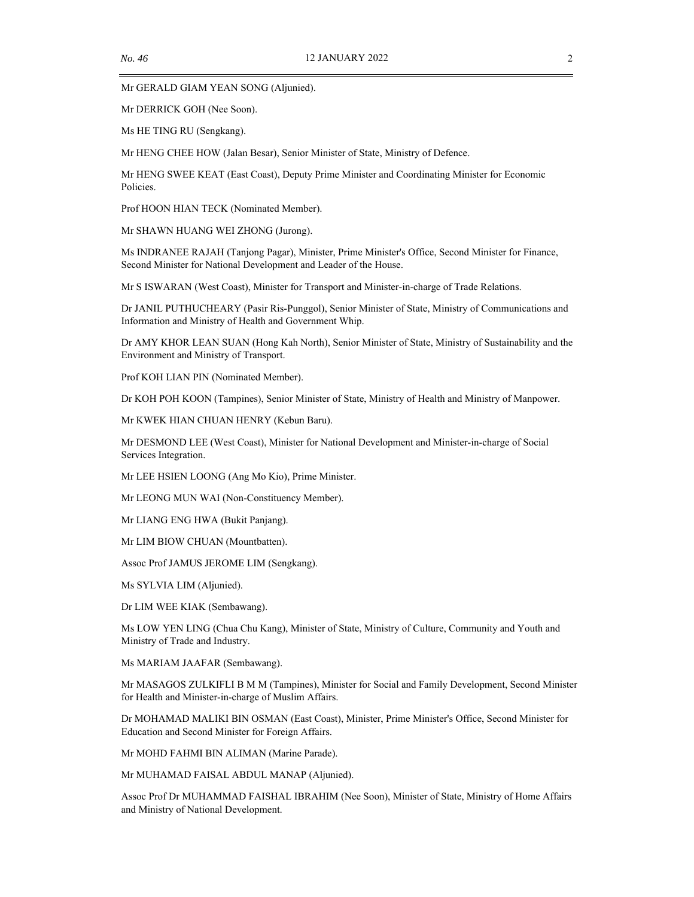Mr GERALD GIAM YEAN SONG (Aljunied).

Mr DERRICK GOH (Nee Soon).

Ms HE TING RU (Sengkang).

Mr HENG CHEE HOW (Jalan Besar), Senior Minister of State, Ministry of Defence.

Mr HENG SWEE KEAT (East Coast), Deputy Prime Minister and Coordinating Minister for Economic Policies.

Prof HOON HIAN TECK (Nominated Member).

Mr SHAWN HUANG WEI ZHONG (Jurong).

Ms INDRANEE RAJAH (Tanjong Pagar), Minister, Prime Minister's Office, Second Minister for Finance, Second Minister for National Development and Leader of the House.

Mr S ISWARAN (West Coast), Minister for Transport and Minister-in-charge of Trade Relations.

Dr JANIL PUTHUCHEARY (Pasir Ris-Punggol), Senior Minister of State, Ministry of Communications and Information and Ministry of Health and Government Whip.

Dr AMY KHOR LEAN SUAN (Hong Kah North), Senior Minister of State, Ministry of Sustainability and the Environment and Ministry of Transport.

Prof KOH LIAN PIN (Nominated Member).

Dr KOH POH KOON (Tampines), Senior Minister of State, Ministry of Health and Ministry of Manpower.

Mr KWEK HIAN CHUAN HENRY (Kebun Baru).

Mr DESMOND LEE (West Coast), Minister for National Development and Minister-in-charge of Social Services Integration.

Mr LEE HSIEN LOONG (Ang Mo Kio), Prime Minister.

Mr LEONG MUN WAI (Non-Constituency Member).

Mr LIANG ENG HWA (Bukit Panjang).

Mr LIM BIOW CHUAN (Mountbatten).

Assoc Prof JAMUS JEROME LIM (Sengkang).

Ms SYLVIA LIM (Aljunied).

Dr LIM WEE KIAK (Sembawang).

Ms LOW YEN LING (Chua Chu Kang), Minister of State, Ministry of Culture, Community and Youth and Ministry of Trade and Industry.

Ms MARIAM JAAFAR (Sembawang).

Mr MASAGOS ZULKIFLI B M M (Tampines), Minister for Social and Family Development, Second Minister for Health and Minister-in-charge of Muslim Affairs.

Dr MOHAMAD MALIKI BIN OSMAN (East Coast), Minister, Prime Minister's Office, Second Minister for Education and Second Minister for Foreign Affairs.

Mr MOHD FAHMI BIN ALIMAN (Marine Parade).

Mr MUHAMAD FAISAL ABDUL MANAP (Aljunied).

Assoc Prof Dr MUHAMMAD FAISHAL IBRAHIM (Nee Soon), Minister of State, Ministry of Home Affairs and Ministry of National Development.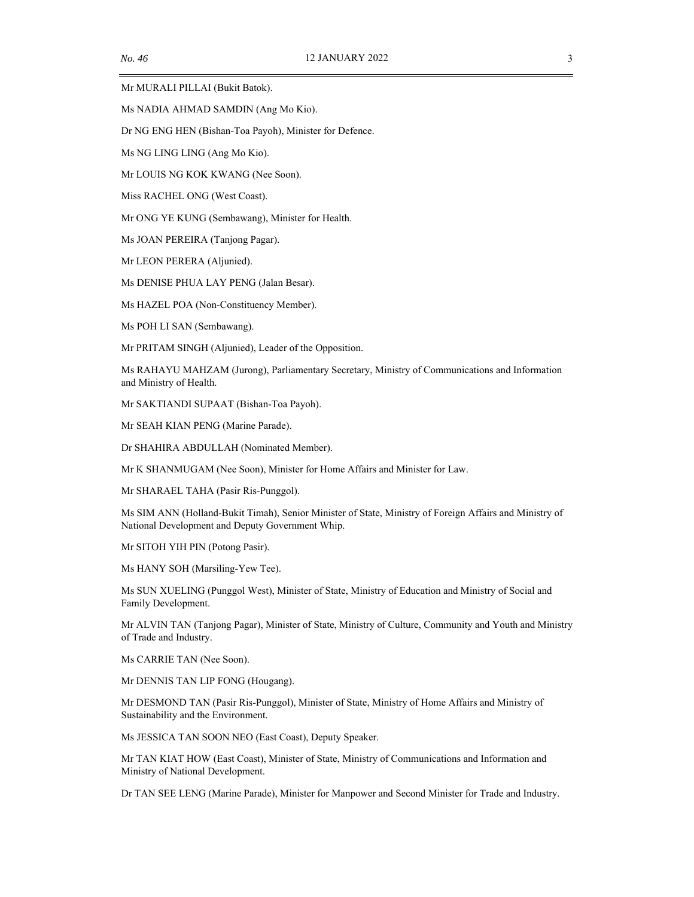Mr MURALI PILLAI (Bukit Batok).

Ms NADIA AHMAD SAMDIN (Ang Mo Kio).

Dr NG ENG HEN (Bishan-Toa Payoh), Minister for Defence.

Ms NG LING LING (Ang Mo Kio).

Mr LOUIS NG KOK KWANG (Nee Soon).

Miss RACHEL ONG (West Coast).

Mr ONG YE KUNG (Sembawang), Minister for Health.

Ms JOAN PEREIRA (Tanjong Pagar).

Mr LEON PERERA (Aljunied).

Ms DENISE PHUA LAY PENG (Jalan Besar).

Ms HAZEL POA (Non-Constituency Member).

Ms POH LI SAN (Sembawang).

Mr PRITAM SINGH (Aljunied), Leader of the Opposition.

Ms RAHAYU MAHZAM (Jurong), Parliamentary Secretary, Ministry of Communications and Information and Ministry of Health.

Mr SAKTIANDI SUPAAT (Bishan-Toa Payoh).

Mr SEAH KIAN PENG (Marine Parade).

Dr SHAHIRA ABDULLAH (Nominated Member).

Mr K SHANMUGAM (Nee Soon), Minister for Home Affairs and Minister for Law.

Mr SHARAEL TAHA (Pasir Ris-Punggol).

Ms SIM ANN (Holland-Bukit Timah), Senior Minister of State, Ministry of Foreign Affairs and Ministry of National Development and Deputy Government Whip.

Mr SITOH YIH PIN (Potong Pasir).

Ms HANY SOH (Marsiling-Yew Tee).

Ms SUN XUELING (Punggol West), Minister of State, Ministry of Education and Ministry of Social and Family Development.

Mr ALVIN TAN (Tanjong Pagar), Minister of State, Ministry of Culture, Community and Youth and Ministry of Trade and Industry.

Ms CARRIE TAN (Nee Soon).

Mr DENNIS TAN LIP FONG (Hougang).

Mr DESMOND TAN (Pasir Ris-Punggol), Minister of State, Ministry of Home Affairs and Ministry of Sustainability and the Environment.

Ms JESSICA TAN SOON NEO (East Coast), Deputy Speaker.

Mr TAN KIAT HOW (East Coast), Minister of State, Ministry of Communications and Information and Ministry of National Development.

Dr TAN SEE LENG (Marine Parade), Minister for Manpower and Second Minister for Trade and Industry.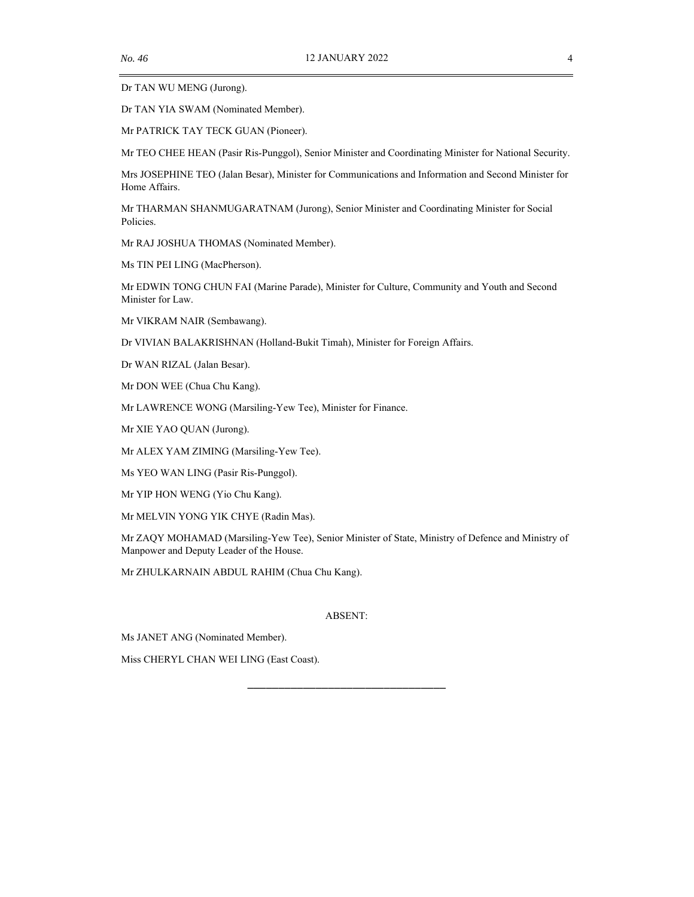Dr TAN WU MENG (Jurong).

Dr TAN YIA SWAM (Nominated Member).

Mr PATRICK TAY TECK GUAN (Pioneer).

Mr TEO CHEE HEAN (Pasir Ris-Punggol), Senior Minister and Coordinating Minister for National Security.

Mrs JOSEPHINE TEO (Jalan Besar), Minister for Communications and Information and Second Minister for Home Affairs.

Mr THARMAN SHANMUGARATNAM (Jurong), Senior Minister and Coordinating Minister for Social Policies.

Mr RAJ JOSHUA THOMAS (Nominated Member).

Ms TIN PEI LING (MacPherson).

Mr EDWIN TONG CHUN FAI (Marine Parade), Minister for Culture, Community and Youth and Second Minister for Law.

Mr VIKRAM NAIR (Sembawang).

Dr VIVIAN BALAKRISHNAN (Holland-Bukit Timah), Minister for Foreign Affairs.

Dr WAN RIZAL (Jalan Besar).

Mr DON WEE (Chua Chu Kang).

Mr LAWRENCE WONG (Marsiling-Yew Tee), Minister for Finance.

Mr XIE YAO QUAN (Jurong).

Mr ALEX YAM ZIMING (Marsiling-Yew Tee).

Ms YEO WAN LING (Pasir Ris-Punggol).

Mr YIP HON WENG (Yio Chu Kang).

Mr MELVIN YONG YIK CHYE (Radin Mas).

Mr ZAQY MOHAMAD (Marsiling-Yew Tee), Senior Minister of State, Ministry of Defence and Ministry of Manpower and Deputy Leader of the House.

Mr ZHULKARNAIN ABDUL RAHIM (Chua Chu Kang).

#### ABSENT:

\_\_\_\_\_\_\_\_\_\_\_\_\_\_\_\_\_\_\_\_\_\_\_\_\_\_\_\_\_\_\_\_

Ms JANET ANG (Nominated Member).

Miss CHERYL CHAN WEI LING (East Coast).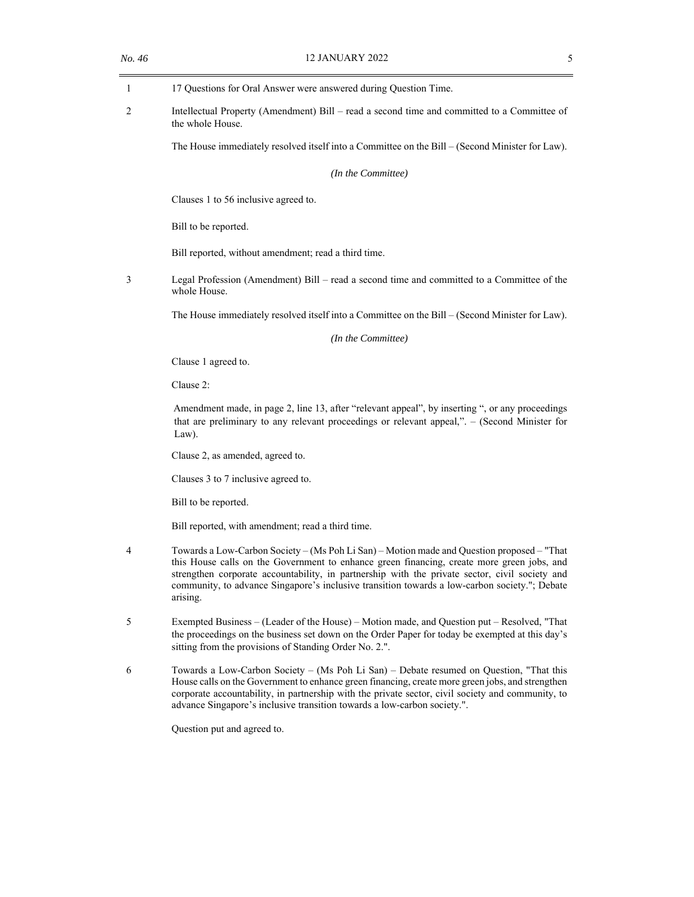| 1 | 17 Questions for Oral Answer were answered during Question Time.                                                                                                                                                                                                                                                                                                                                        |
|---|---------------------------------------------------------------------------------------------------------------------------------------------------------------------------------------------------------------------------------------------------------------------------------------------------------------------------------------------------------------------------------------------------------|
| 2 | Intellectual Property (Amendment) Bill – read a second time and committed to a Committee of<br>the whole House.                                                                                                                                                                                                                                                                                         |
|   | The House immediately resolved itself into a Committee on the Bill - (Second Minister for Law).                                                                                                                                                                                                                                                                                                         |
|   | (In the Committee)                                                                                                                                                                                                                                                                                                                                                                                      |
|   | Clauses 1 to 56 inclusive agreed to.                                                                                                                                                                                                                                                                                                                                                                    |
|   | Bill to be reported.                                                                                                                                                                                                                                                                                                                                                                                    |
|   | Bill reported, without amendment; read a third time.                                                                                                                                                                                                                                                                                                                                                    |
| 3 | Legal Profession (Amendment) Bill - read a second time and committed to a Committee of the<br>whole House.                                                                                                                                                                                                                                                                                              |
|   | The House immediately resolved itself into a Committee on the Bill - (Second Minister for Law).                                                                                                                                                                                                                                                                                                         |
|   | (In the Committee)                                                                                                                                                                                                                                                                                                                                                                                      |
|   | Clause 1 agreed to.                                                                                                                                                                                                                                                                                                                                                                                     |
|   | Clause 2:                                                                                                                                                                                                                                                                                                                                                                                               |
|   | Amendment made, in page 2, line 13, after "relevant appeal", by inserting ", or any proceedings<br>that are preliminary to any relevant proceedings or relevant appeal,". - (Second Minister for<br>Law).                                                                                                                                                                                               |
|   | Clause 2, as amended, agreed to.                                                                                                                                                                                                                                                                                                                                                                        |
|   | Clauses 3 to 7 inclusive agreed to.                                                                                                                                                                                                                                                                                                                                                                     |
|   | Bill to be reported.                                                                                                                                                                                                                                                                                                                                                                                    |
|   | Bill reported, with amendment; read a third time.                                                                                                                                                                                                                                                                                                                                                       |
| 4 | Towards a Low-Carbon Society – (Ms Poh Li San) – Motion made and Question proposed – "That<br>this House calls on the Government to enhance green financing, create more green jobs, and<br>strengthen corporate accountability, in partnership with the private sector, civil society and<br>community, to advance Singapore's inclusive transition towards a low-carbon society."; Debate<br>arising. |
| 5 | Exempted Business – (Leader of the House) – Motion made, and Question put – Resolved, "That<br>the proceedings on the business set down on the Order Paper for today be exempted at this day's<br>sitting from the provisions of Standing Order No. 2.".                                                                                                                                                |
| 6 | Towards a Low-Carbon Society – (Ms Poh Li San) – Debate resumed on Question, "That this<br>House calls on the Government to enhance green financing, create more green jobs, and strengthen<br>corporate accountability, in partnership with the private sector, civil society and community, to<br>advance Singapore's inclusive transition towards a low-carbon society.".                            |
|   | Question put and agreed to.                                                                                                                                                                                                                                                                                                                                                                             |